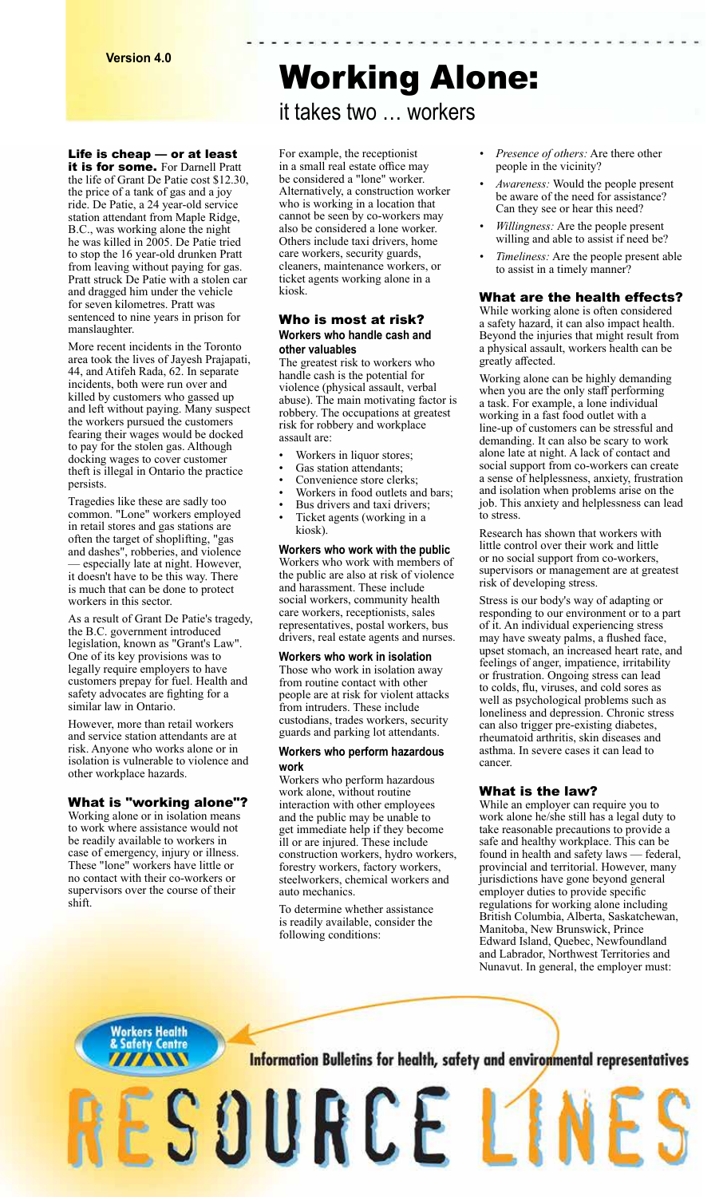Life is cheap — or at least

it is for some. For Darnell Pratt the life of Grant De Patie cost \$12.30, the price of a tank of gas and a joy ride. De Patie, a 24 year-old service station attendant from Maple Ridge, B.C., was working alone the night he was killed in 2005. De Patie tried to stop the 16 year-old drunken Pratt from leaving without paying for gas. Pratt struck De Patie with a stolen car and dragged him under the vehicle for seven kilometres. Pratt was sentenced to nine years in prison for manslaughter.

More recent incidents in the Toronto area took the lives of Jayesh Prajapati, 44, and Atifeh Rada, 62. In separate incidents, both were run over and killed by customers who gassed up and left without paying. Many suspect the workers pursued the customers fearing their wages would be docked to pay for the stolen gas. Although docking wages to cover customer theft is illegal in Ontario the practice persists.

Tragedies like these are sadly too common. "Lone" workers employed in retail stores and gas stations are often the target of shoplifting, "gas and dashes", robberies, and violence — especially late at night. However, it doesn't have to be this way. There is much that can be done to protect workers in this sector.

As a result of Grant De Patie's tragedy, the B.C. government introduced legislation, known as "Grant's Law". One of its key provisions was to legally require employers to have customers prepay for fuel. Health and safety advocates are fighting for a similar law in Ontario.

However, more than retail workers and service station attendants are at risk. Anyone who works alone or in isolation is vulnerable to violence and other workplace hazards.

#### What is "working alone"?

Working alone or in isolation means to work where assistance would not be readily available to workers in case of emergency, injury or illness. These "lone" workers have little or no contact with their co-workers or supervisors over the course of their shift.

# Working Alone:

it takes two … workers

For example, the receptionist in a small real estate office may be considered a "lone" worker. Alternatively, a construction worker who is working in a location that cannot be seen by co-workers may also be considered a lone worker. Others include taxi drivers, home care workers, security guards, cleaners, maintenance workers, or ticket agents working alone in a kiosk.

#### Who is most at risk? **Workers who handle cash and other valuables**

The greatest risk to workers who handle cash is the potential for violence (physical assault, verbal abuse). The main motivating factor is robbery. The occupations at greatest risk for robbery and workplace assault are:

- Workers in liquor stores;
- Gas station attendants:
- Convenience store clerks;
- Workers in food outlets and bars;
- Bus drivers and taxi drivers; • Ticket agents (working in a kiosk).

**Workers who work with the public**  Workers who work with members of the public are also at risk of violence and harassment. These include social workers, community health care workers, receptionists, sales representatives, postal workers, bus drivers, real estate agents and nurses.

**Workers who work in isolation** Those who work in isolation away from routine contact with other people are at risk for violent attacks from intruders. These include custodians, trades workers, security guards and parking lot attendants.

#### **Workers who perform hazardous work**

Workers who perform hazardous work alone, without routine interaction with other employees and the public may be unable to get immediate help if they become ill or are injured. These include construction workers, hydro workers, forestry workers, factory workers, steelworkers, chemical workers and auto mechanics.

To determine whether assistance is readily available, consider the following conditions:

- *• Presence of others:* Are there other people in the vicinity?
- *• Awareness:* Would the people present be aware of the need for assistance? Can they see or hear this need?
- *• Willingness:* Are the people present willing and able to assist if need be?
- *• Timeliness:* Are the people present able to assist in a timely manner?

## What are the health effects?

While working alone is often considered a safety hazard, it can also impact health. Beyond the injuries that might result from a physical assault, workers health can be greatly affected.

Working alone can be highly demanding when you are the only staff performing a task. For example, a lone individual working in a fast food outlet with a line-up of customers can be stressful and demanding. It can also be scary to work alone late at night. A lack of contact and social support from co-workers can create a sense of helplessness, anxiety, frustration and isolation when problems arise on the job. This anxiety and helplessness can lead to stress.

Research has shown that workers with little control over their work and little or no social support from co-workers, supervisors or management are at greatest risk of developing stress.

Stress is our body's way of adapting or responding to our environment or to a part of it. An individual experiencing stress may have sweaty palms, a flushed face, upset stomach, an increased heart rate, and feelings of anger, impatience, irritability or frustration. Ongoing stress can lead to colds, flu, viruses, and cold sores as well as psychological problems such as loneliness and depression. Chronic stress can also trigger pre-existing diabetes, rheumatoid arthritis, skin diseases and asthma. In severe cases it can lead to cancer.

# What is the law?

While an employer can require you to work alone he/she still has a legal duty to take reasonable precautions to provide a safe and healthy workplace. This can be found in health and safety laws — federal, provincial and territorial. However, many jurisdictions have gone beyond general employer duties to provide specific regulations for working alone including British Columbia, Alberta, Saskatchewan, Manitoba, New Brunswick, Prince Edward Island, Quebec, Newfoundland and Labrador, Northwest Territories and Nunavut. In general, the employer must: